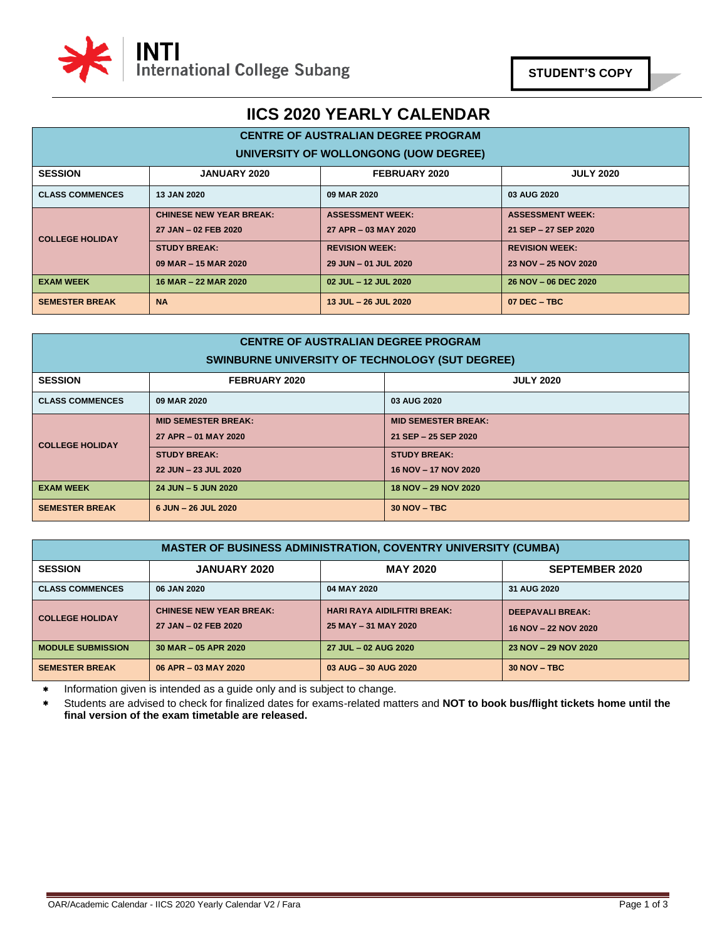

### **CENTRE OF AUSTRALIAN DEGREE PROGRAM UNIVERSITY OF WOLLONGONG (UOW DEGREE)**

| UNIVERSITY OF WOLLONGONG (OOW DEGREE) |                                |                         |                         |  |  |
|---------------------------------------|--------------------------------|-------------------------|-------------------------|--|--|
| <b>SESSION</b>                        | <b>JANUARY 2020</b>            | FEBRUARY 2020           | <b>JULY 2020</b>        |  |  |
| <b>CLASS COMMENCES</b>                | <b>13 JAN 2020</b>             | 09 MAR 2020             | 03 AUG 2020             |  |  |
| <b>COLLEGE HOLIDAY</b>                | <b>CHINESE NEW YEAR BREAK:</b> | <b>ASSESSMENT WEEK:</b> | <b>ASSESSMENT WEEK:</b> |  |  |
|                                       | 27 JAN - 02 FEB 2020           | 27 APR - 03 MAY 2020    | 21 SEP - 27 SEP 2020    |  |  |
|                                       | <b>STUDY BREAK:</b>            | <b>REVISION WEEK:</b>   | <b>REVISION WEEK:</b>   |  |  |
|                                       | 09 MAR - 15 MAR 2020           | 29 JUN - 01 JUL 2020    | 23 NOV - 25 NOV 2020    |  |  |
| <b>EXAM WEEK</b>                      | 16 MAR - 22 MAR 2020           | 02 JUL - 12 JUL 2020    | 26 NOV - 06 DEC 2020    |  |  |
| <b>SEMESTER BREAK</b>                 | <b>NA</b>                      | 13 JUL - 26 JUL 2020    | $07$ DEC $-$ TBC        |  |  |

| <b>CENTRE OF AUSTRALIAN DEGREE PROGRAM</b><br>SWINBURNE UNIVERSITY OF TECHNOLOGY (SUT DEGREE) |                                                    |                                                    |  |  |  |
|-----------------------------------------------------------------------------------------------|----------------------------------------------------|----------------------------------------------------|--|--|--|
| <b>SESSION</b>                                                                                | FEBRUARY 2020<br><b>JULY 2020</b>                  |                                                    |  |  |  |
| <b>CLASS COMMENCES</b>                                                                        | 09 MAR 2020                                        | 03 AUG 2020                                        |  |  |  |
| <b>COLLEGE HOLIDAY</b>                                                                        | <b>MID SEMESTER BREAK:</b><br>27 APR - 01 MAY 2020 | <b>MID SEMESTER BREAK:</b><br>21 SEP - 25 SEP 2020 |  |  |  |
|                                                                                               | <b>STUDY BREAK:</b><br>22 JUN - 23 JUL 2020        | <b>STUDY BREAK:</b><br>16 NOV - 17 NOV 2020        |  |  |  |
| <b>EXAM WEEK</b>                                                                              | 24 JUN - 5 JUN 2020<br>18 NOV - 29 NOV 2020        |                                                    |  |  |  |
| <b>SEMESTER BREAK</b>                                                                         | 6 JUN - 26 JUL 2020                                | $30 NOV - TBC$                                     |  |  |  |

| <b>MASTER OF BUSINESS ADMINISTRATION, COVENTRY UNIVERSITY (CUMBA)</b> |                                                        |                                                            |                                                 |  |
|-----------------------------------------------------------------------|--------------------------------------------------------|------------------------------------------------------------|-------------------------------------------------|--|
| <b>SESSION</b>                                                        | <b>JANUARY 2020</b>                                    | <b>SEPTEMBER 2020</b>                                      |                                                 |  |
| <b>CLASS COMMENCES</b>                                                | 06 JAN 2020                                            | 04 MAY 2020                                                | 31 AUG 2020                                     |  |
| <b>COLLEGE HOLIDAY</b>                                                | <b>CHINESE NEW YEAR BREAK:</b><br>27 JAN - 02 FEB 2020 | <b>HARI RAYA AIDILFITRI BREAK:</b><br>25 MAY - 31 MAY 2020 | <b>DEEPAVALI BREAK:</b><br>16 NOV - 22 NOV 2020 |  |
| <b>MODULE SUBMISSION</b>                                              | 30 MAR - 05 APR 2020                                   | 27 JUL - 02 AUG 2020                                       | 23 NOV - 29 NOV 2020                            |  |
| <b>SEMESTER BREAK</b>                                                 | 06 APR - 03 MAY 2020                                   | 03 AUG - 30 AUG 2020                                       | $30 NOV - TBC$                                  |  |

\* Information given is intended as a guide only and is subject to change.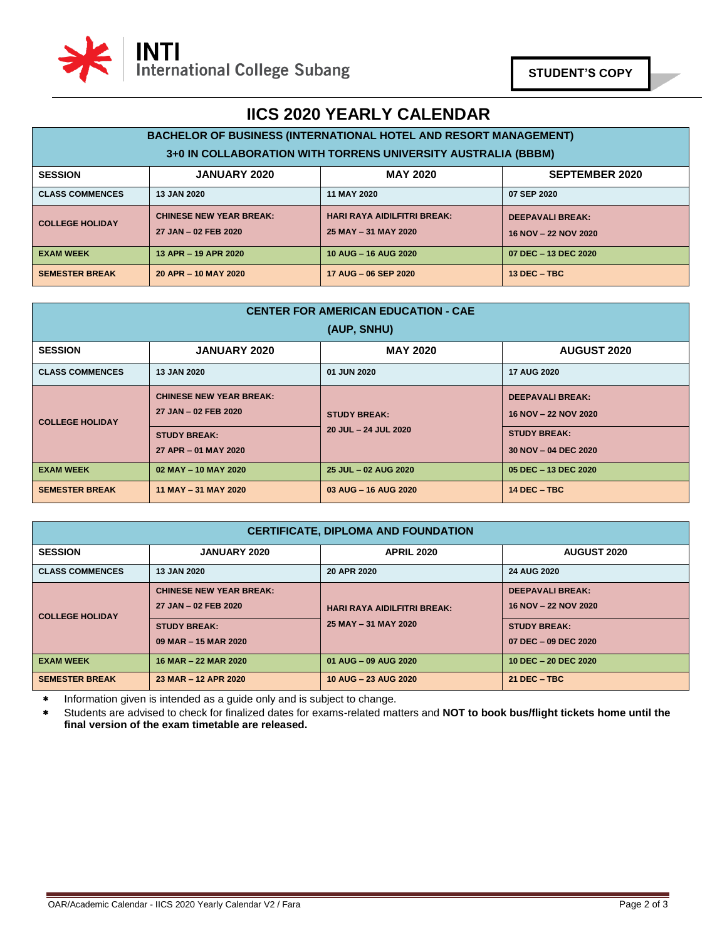

#### **BACHELOR OF BUSINESS (INTERNATIONAL HOTEL AND RESORT MANAGEMENT) 3+0 IN COLLABORATION WITH TORRENS UNIVERSITY AUSTRALIA (BBBM) SESSION JANUARY 2020 MAY 2020 SEPTEMBER 2020 CLASS COMMENCES 13 JAN 2020 11 MAY 2020 07 SEP 2020 COLLEGE HOLIDAY CHINESE NEW YEAR BREAK: 27 JAN – 02 FEB 2020 HARI RAYA AIDILFITRI BREAK: 25 MAY – 31 MAY 2020 DEEPAVALI BREAK: 16 NOV – 22 NOV 2020 EXAM WEEK 13 APR – 19 APR 2020 10 AUG – 16 AUG 2020 07 DEC – 13 DEC 2020 SEMESTER BREAK 20 APR – 10 MAY 2020 17 AUG – 06 SEP 2020 13 DEC – TBC**

| <b>CENTER FOR AMERICAN EDUCATION - CAE</b><br>(AUP, SNHU)                      |                                                        |                      |                                                 |  |  |  |
|--------------------------------------------------------------------------------|--------------------------------------------------------|----------------------|-------------------------------------------------|--|--|--|
| <b>MAY 2020</b><br><b>SESSION</b><br><b>JANUARY 2020</b><br><b>AUGUST 2020</b> |                                                        |                      |                                                 |  |  |  |
| <b>CLASS COMMENCES</b>                                                         | <b>13 JAN 2020</b>                                     | 01 JUN 2020          | <b>17 AUG 2020</b>                              |  |  |  |
| <b>COLLEGE HOLIDAY</b>                                                         | <b>CHINESE NEW YEAR BREAK:</b><br>27 JAN - 02 FEB 2020 | <b>STUDY BREAK:</b>  | <b>DEEPAVALI BREAK:</b><br>16 NOV - 22 NOV 2020 |  |  |  |
|                                                                                | <b>STUDY BREAK:</b><br>27 APR - 01 MAY 2020            | 20 JUL - 24 JUL 2020 | <b>STUDY BREAK:</b><br>30 NOV - 04 DEC 2020     |  |  |  |
| <b>EXAM WEEK</b>                                                               | 02 MAY - 10 MAY 2020                                   | 25 JUL - 02 AUG 2020 | 05 DEC - 13 DEC 2020                            |  |  |  |
| <b>SEMESTER BREAK</b>                                                          | 11 MAY - 31 MAY 2020                                   | 03 AUG - 16 AUG 2020 | $14$ DEC $-$ TBC                                |  |  |  |

| <b>CERTIFICATE, DIPLOMA AND FOUNDATION</b> |                                                                                                       |                                                            |                                                                                                |  |
|--------------------------------------------|-------------------------------------------------------------------------------------------------------|------------------------------------------------------------|------------------------------------------------------------------------------------------------|--|
| <b>SESSION</b>                             | <b>JANUARY 2020</b>                                                                                   | <b>AUGUST 2020</b>                                         |                                                                                                |  |
| <b>CLASS COMMENCES</b>                     | <b>13 JAN 2020</b>                                                                                    | 20 APR 2020                                                | <b>24 AUG 2020</b>                                                                             |  |
| <b>COLLEGE HOLIDAY</b>                     | <b>CHINESE NEW YEAR BREAK:</b><br>27 JAN - 02 FEB 2020<br><b>STUDY BREAK:</b><br>09 MAR - 15 MAR 2020 | <b>HARI RAYA AIDILFITRI BREAK:</b><br>25 MAY - 31 MAY 2020 | <b>DEEPAVALI BREAK:</b><br>16 NOV - 22 NOV 2020<br><b>STUDY BREAK:</b><br>07 DEC - 09 DEC 2020 |  |
| <b>EXAM WEEK</b>                           | 16 MAR - 22 MAR 2020                                                                                  | 01 AUG - 09 AUG 2020                                       | 10 DEC - 20 DEC 2020                                                                           |  |
| <b>SEMESTER BREAK</b>                      | 23 MAR - 12 APR 2020                                                                                  | 10 AUG - 23 AUG 2020                                       | $21$ DEC $-$ TBC                                                                               |  |

Information given is intended as a guide only and is subject to change.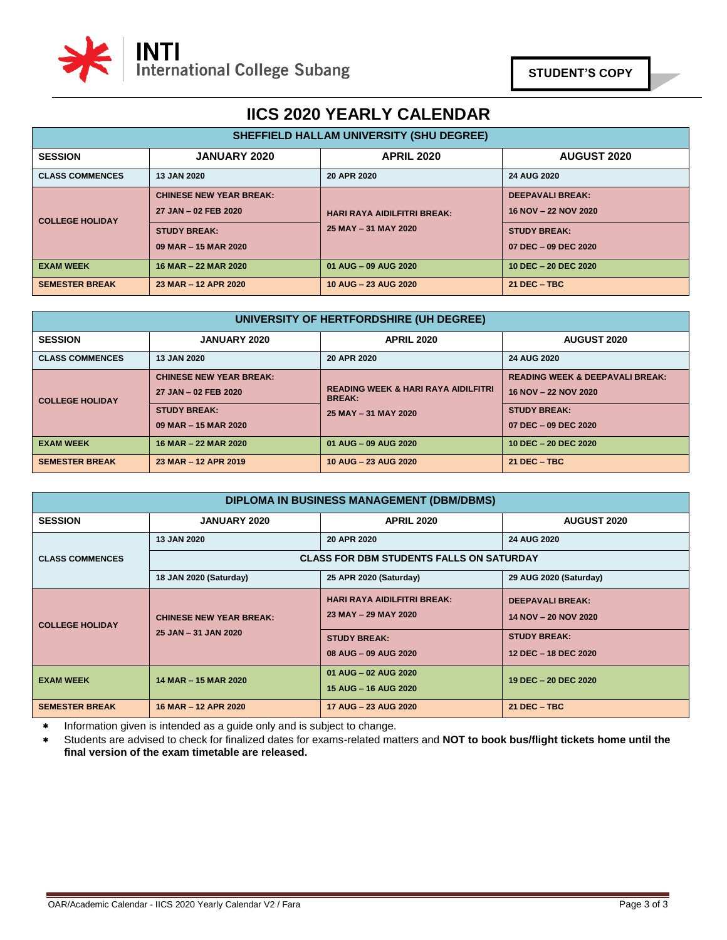

| SHEFFIELD HALLAM UNIVERSITY (SHU DEGREE) |                                                                                                       |                                                            |                                                                                                |  |  |
|------------------------------------------|-------------------------------------------------------------------------------------------------------|------------------------------------------------------------|------------------------------------------------------------------------------------------------|--|--|
| <b>SESSION</b>                           | <b>JANUARY 2020</b>                                                                                   | <b>APRIL 2020</b>                                          | <b>AUGUST 2020</b>                                                                             |  |  |
| <b>CLASS COMMENCES</b>                   | <b>13 JAN 2020</b>                                                                                    | 20 APR 2020                                                | 24 AUG 2020                                                                                    |  |  |
| <b>COLLEGE HOLIDAY</b>                   | <b>CHINESE NEW YEAR BREAK:</b><br>27 JAN - 02 FEB 2020<br><b>STUDY BREAK:</b><br>09 MAR - 15 MAR 2020 | <b>HARI RAYA AIDILFITRI BREAK:</b><br>25 MAY - 31 MAY 2020 | <b>DEEPAVALI BREAK:</b><br>16 NOV - 22 NOV 2020<br><b>STUDY BREAK:</b><br>07 DEC - 09 DEC 2020 |  |  |
| <b>EXAM WEEK</b>                         | 16 MAR - 22 MAR 2020                                                                                  | 01 AUG - 09 AUG 2020                                       | 10 DEC - 20 DEC 2020                                                                           |  |  |
| <b>SEMESTER BREAK</b>                    | 23 MAR - 12 APR 2020                                                                                  | 10 AUG - 23 AUG 2020                                       | $21$ DEC $-$ TBC                                                                               |  |  |

| UNIVERSITY OF HERTFORDSHIRE (UH DEGREE) |                                                                                                       |                                                                                         |                                                                                                                   |  |  |
|-----------------------------------------|-------------------------------------------------------------------------------------------------------|-----------------------------------------------------------------------------------------|-------------------------------------------------------------------------------------------------------------------|--|--|
| <b>SESSION</b>                          | <b>AUGUST 2020</b>                                                                                    |                                                                                         |                                                                                                                   |  |  |
| <b>CLASS COMMENCES</b>                  | 13 JAN 2020<br>20 APR 2020                                                                            |                                                                                         | 24 AUG 2020                                                                                                       |  |  |
| <b>COLLEGE HOLIDAY</b>                  | <b>CHINESE NEW YEAR BREAK:</b><br>27 JAN - 02 FEB 2020<br><b>STUDY BREAK:</b><br>09 MAR - 15 MAR 2020 | <b>READING WEEK &amp; HARI RAYA AIDILFITRI</b><br><b>BREAK:</b><br>25 MAY - 31 MAY 2020 | <b>READING WEEK &amp; DEEPAVALI BREAK:</b><br>16 NOV - 22 NOV 2020<br><b>STUDY BREAK:</b><br>07 DEC - 09 DEC 2020 |  |  |
| <b>EXAM WEEK</b>                        | 16 MAR - 22 MAR 2020                                                                                  | 01 AUG - 09 AUG 2020                                                                    | 10 DEC - 20 DEC 2020                                                                                              |  |  |
| <b>SEMESTER BREAK</b>                   | 23 MAR - 12 APR 2019                                                                                  | 10 AUG - 23 AUG 2020                                                                    | $21$ DEC $-$ TBC                                                                                                  |  |  |

| DIPLOMA IN BUSINESS MANAGEMENT (DBM/DBMS) |                                                                |                                                            |                                                 |  |  |  |
|-------------------------------------------|----------------------------------------------------------------|------------------------------------------------------------|-------------------------------------------------|--|--|--|
| <b>SESSION</b>                            | <b>JANUARY 2020</b><br><b>APRIL 2020</b><br><b>AUGUST 2020</b> |                                                            |                                                 |  |  |  |
|                                           | <b>13 JAN 2020</b>                                             | 24 AUG 2020<br>20 APR 2020                                 |                                                 |  |  |  |
| <b>CLASS COMMENCES</b>                    | <b>CLASS FOR DBM STUDENTS FALLS ON SATURDAY</b>                |                                                            |                                                 |  |  |  |
|                                           | 18 JAN 2020 (Saturday)                                         | 25 APR 2020 (Saturday)                                     | 29 AUG 2020 (Saturday)                          |  |  |  |
| <b>COLLEGE HOLIDAY</b>                    | <b>CHINESE NEW YEAR BREAK:</b>                                 | <b>HARI RAYA AIDILFITRI BREAK:</b><br>23 MAY - 29 MAY 2020 | <b>DEEPAVALI BREAK:</b><br>14 NOV - 20 NOV 2020 |  |  |  |
|                                           | 25 JAN - 31 JAN 2020                                           | <b>STUDY BREAK:</b><br>08 AUG - 09 AUG 2020                | <b>STUDY BREAK:</b><br>12 DEC - 18 DEC 2020     |  |  |  |
| <b>EXAM WEEK</b>                          | 14 MAR - 15 MAR 2020                                           | 01 AUG - 02 AUG 2020<br>15 AUG - 16 AUG 2020               | 19 DEC - 20 DEC 2020                            |  |  |  |
| <b>SEMESTER BREAK</b>                     | 16 MAR - 12 APR 2020                                           | 17 AUG - 23 AUG 2020                                       | 21 DEC - TBC                                    |  |  |  |

Information given is intended as a guide only and is subject to change.